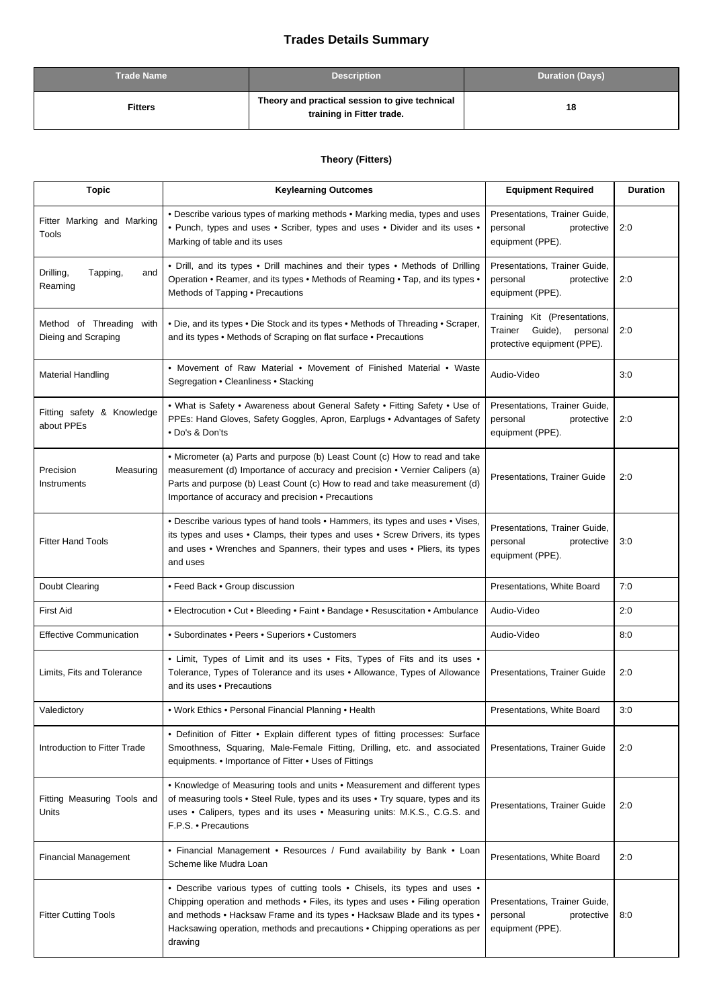## **Trades Details Summary**

| <b>Trade Name</b> | <b>Description</b>                                                          | <b>Duration (Days)</b> |
|-------------------|-----------------------------------------------------------------------------|------------------------|
| <b>Fitters</b>    | Theory and practical session to give technical<br>training in Fitter trade. | 18                     |

## **Theory (Fitters)**

| <b>Topic</b>                                       | <b>Keylearning Outcomes</b>                                                                                                                                                                                                                                                                                                      | <b>Equipment Required</b>                                                                     | <b>Duration</b> |
|----------------------------------------------------|----------------------------------------------------------------------------------------------------------------------------------------------------------------------------------------------------------------------------------------------------------------------------------------------------------------------------------|-----------------------------------------------------------------------------------------------|-----------------|
| Fitter Marking and Marking<br>Tools                | . Describe various types of marking methods . Marking media, types and uses<br>• Punch, types and uses • Scriber, types and uses • Divider and its uses •<br>Marking of table and its uses                                                                                                                                       | Presentations, Trainer Guide,<br>personal<br>protective<br>equipment (PPE).                   | 2:0             |
| Drilling,<br>Tapping,<br>and<br>Reaming            | • Drill, and its types • Drill machines and their types • Methods of Drilling<br>Operation • Reamer, and its types • Methods of Reaming • Tap, and its types •<br>Methods of Tapping • Precautions                                                                                                                               | Presentations, Trainer Guide,<br>personal<br>protective<br>equipment (PPE).                   | 2:0             |
| Method of Threading<br>with<br>Dieing and Scraping | . Die, and its types . Die Stock and its types . Methods of Threading . Scraper,<br>and its types • Methods of Scraping on flat surface • Precautions                                                                                                                                                                            | Training Kit (Presentations,<br>Trainer<br>Guide),<br>personal<br>protective equipment (PPE). | 2:0             |
| <b>Material Handling</b>                           | • Movement of Raw Material • Movement of Finished Material • Waste<br>Segregation . Cleanliness . Stacking                                                                                                                                                                                                                       | Audio-Video                                                                                   | 3:0             |
| Fitting safety & Knowledge<br>about PPEs           | . What is Safety . Awareness about General Safety . Fitting Safety . Use of<br>PPEs: Hand Gloves, Safety Goggles, Apron, Earplugs . Advantages of Safety<br>• Do's & Don'ts                                                                                                                                                      | Presentations, Trainer Guide,<br>personal<br>protective<br>equipment (PPE).                   | 2:0             |
| Precision<br>Measuring<br>Instruments              | • Micrometer (a) Parts and purpose (b) Least Count (c) How to read and take<br>measurement (d) Importance of accuracy and precision • Vernier Calipers (a)<br>Parts and purpose (b) Least Count (c) How to read and take measurement (d)<br>Importance of accuracy and precision • Precautions                                   | Presentations, Trainer Guide                                                                  | 2:0             |
| <b>Fitter Hand Tools</b>                           | . Describe various types of hand tools . Hammers, its types and uses . Vises,<br>its types and uses . Clamps, their types and uses . Screw Drivers, its types<br>and uses • Wrenches and Spanners, their types and uses • Pliers, its types<br>and uses                                                                          | Presentations, Trainer Guide,<br>personal<br>protective<br>equipment (PPE).                   | 3:0             |
| Doubt Clearing                                     | • Feed Back • Group discussion                                                                                                                                                                                                                                                                                                   | Presentations, White Board                                                                    | 7:0             |
| <b>First Aid</b>                                   | • Electrocution • Cut • Bleeding • Faint • Bandage • Resuscitation • Ambulance                                                                                                                                                                                                                                                   | Audio-Video                                                                                   | 2:0             |
| <b>Effective Communication</b>                     | • Subordinates • Peers • Superiors • Customers                                                                                                                                                                                                                                                                                   | Audio-Video                                                                                   | 8:0             |
| Limits, Fits and Tolerance                         | • Limit, Types of Limit and its uses • Fits, Types of Fits and its uses •<br>Tolerance, Types of Tolerance and its uses . Allowance, Types of Allowance<br>and its uses • Precautions                                                                                                                                            | Presentations, Trainer Guide                                                                  | 2:0             |
| Valedictory                                        | • Work Ethics • Personal Financial Planning • Health                                                                                                                                                                                                                                                                             | Presentations, White Board                                                                    | 3:0             |
| Introduction to Fitter Trade                       | • Definition of Fitter • Explain different types of fitting processes: Surface<br>Smoothness, Squaring, Male-Female Fitting, Drilling, etc. and associated<br>equipments. • Importance of Fitter • Uses of Fittings                                                                                                              | Presentations, Trainer Guide                                                                  | 2:0             |
| Fitting Measuring Tools and<br>Units               | • Knowledge of Measuring tools and units • Measurement and different types<br>of measuring tools . Steel Rule, types and its uses . Try square, types and its<br>uses . Calipers, types and its uses . Measuring units: M.K.S., C.G.S. and<br>F.P.S. • Precautions                                                               | Presentations, Trainer Guide                                                                  | 2:0             |
| <b>Financial Management</b>                        | • Financial Management • Resources / Fund availability by Bank • Loan<br>Scheme like Mudra Loan                                                                                                                                                                                                                                  | Presentations, White Board                                                                    | 2:0             |
| <b>Fitter Cutting Tools</b>                        | • Describe various types of cutting tools • Chisels, its types and uses •<br>Chipping operation and methods . Files, its types and uses . Filing operation<br>and methods • Hacksaw Frame and its types • Hacksaw Blade and its types •<br>Hacksawing operation, methods and precautions . Chipping operations as per<br>drawing | Presentations, Trainer Guide,<br>personal<br>protective<br>equipment (PPE).                   | 8:0             |